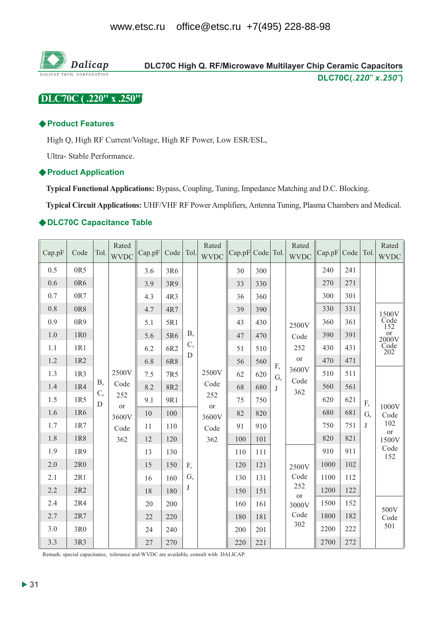

# DLC70C (.220" x .250")

#### ◆ Product Features

High Q, High RF Current/Voltage, High RF Power, Low ESR/ESL,

Ultra-Stable Performance.

#### ♦ Product Application

Typical Functional Applications: Bypass, Coupling, Tuning, Impedance Matching and D.C. Blocking.

Typical Circuit Applications: UHF/VHF RF Power Amplifiers, Antenna Tuning, Plasma Chambers and Medical.

#### ◆DLC70C Capacitance Table

| Cap.pF | Code            | Tol.       | Rated<br><b>WVDC</b> | Cap.pF | Code Tol. |            | Rated<br><b>WVDC</b> | Cap.pF Code Tol. |     |    | Rated<br><b>WVDC</b> | Cap.pF | Code | Tol. | Rated<br><b>WVDC</b>                     |
|--------|-----------------|------------|----------------------|--------|-----------|------------|----------------------|------------------|-----|----|----------------------|--------|------|------|------------------------------------------|
| 0.5    | 0R5             |            |                      | 3.6    | 3R6       |            |                      | 30               | 300 |    |                      | 240    | 241  |      |                                          |
| 0.6    | 0R6             |            |                      | 3.9    | 3R9       |            |                      | 33               | 330 |    |                      | 270    | 271  |      |                                          |
| 0.7    | 0R7             |            |                      | 4.3    | 4R3       |            |                      | 36               | 360 |    |                      | 300    | 301  |      |                                          |
| 0.8    | 0R8             |            |                      | 4.7    | 4R7       |            |                      | 39               | 390 |    |                      | 330    | 331  |      |                                          |
| 0.9    | 0R9             |            |                      | 5.1    | 5R1       |            |                      | 43               | 430 |    | 2500V                | 360    | 361  |      | $\underset{152}{1500}\phantom{}^{1}Code$ |
| 1.0    | 1R <sub>0</sub> |            |                      | 5.6    | 5R6       | <b>B</b> , |                      | 47               | 470 |    | Code                 | 390    | 391  |      |                                          |
| 1.1    | 1R1             |            |                      | 6.2    | 6R2       | C,         |                      | 51               | 510 |    | 252                  | 430    | 431  |      | or<br>2000V<br>Code<br>202               |
| 1.2    | 1R2             |            |                      | 6.8    | 6R8       | D          |                      | 56               | 560 | F, | or                   | 470    | 471  |      |                                          |
| 1.3    | 1R3             |            | 2500V                | 7.5    | 7R5       |            | 2500V                | 62               | 620 | G, | 3600V                | 510    | 511  |      |                                          |
| 1.4    | 1R4             | <b>B</b> , | Code                 | 8.2    | 8R2       |            | Code                 | 68               | 680 | J  | Code<br>362          | 560    | 561  |      |                                          |
| 1.5    | 1R5             | C,<br>D    | 252<br>or            | 9.1    | 9R1       |            | 252<br>or            | 75               | 750 |    |                      | 620    | 621  | F,   | 1000V                                    |
| 1.6    | 1R6             |            | 3600V                | 10     | 100       |            | 3600V                | 82               | 820 |    |                      | 680    | 681  | G,   | Code                                     |
| 1.7    | 1R7             |            | Code                 | 11     | 110       |            | Code                 | 91               | 910 |    |                      | 750    | 751  | J    | 102<br>or                                |
| 1.8    | 1R8             |            | 362                  | 12     | 120       |            | 362                  | 100              | 101 |    |                      | 820    | 821  |      | 1500V                                    |
| 1.9    | 1R9             |            |                      | 13     | 130       |            |                      | 110              | 111 |    |                      | 910    | 911  |      | Code<br>152                              |
| 2.0    | 2R <sub>0</sub> |            |                      | 15     | 150       | F,         |                      | 120              | 121 |    | 2500V                | 1000   | 102  |      |                                          |
| 2.1    | 2R1             |            |                      | 16     | 160       | G,         |                      | 130              | 131 |    | Code                 | 1100   | 112  |      |                                          |
| 2.2    | 2R2             |            |                      | 18     | 180       | J          |                      | 150              | 151 |    | 252<br><b>or</b>     | 1200   | 122  |      |                                          |
| 2.4    | 2R4             |            |                      | 20     | 200       |            |                      | 160              | 161 |    | 3000V                | 1500   | 152  |      | 500V                                     |
| 2.7    | 2R7             |            |                      | 22     | 220       |            |                      | 180              | 181 |    | Code                 | 1800   | 182  |      | Code                                     |
| 3.0    | 3R0             |            |                      | 24     | 240       |            |                      | 200              | 201 |    | 302                  | 2200   | 222  |      | 501                                      |
| 3.3    | 3R3             |            |                      | 27     | 270       |            |                      | 220              | 221 |    |                      | 2700   | 272  |      |                                          |

Remark: special capacitance, tolerance and WVDC are available, consult with DALICAP.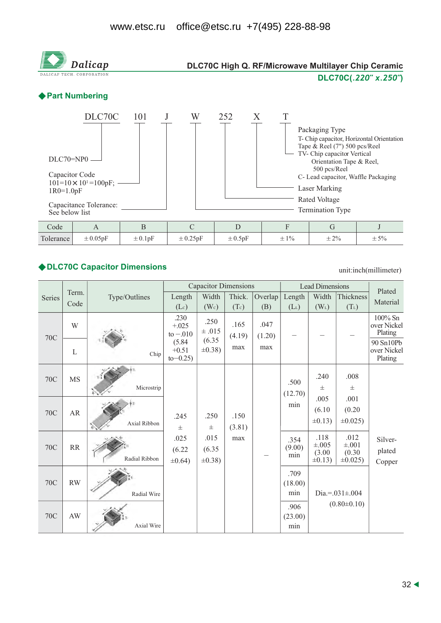

# ◆ DLC70C Capacitor Dimensions

unit:inch(millimeter)

|        |                        |               |                                  | <b>Capacitor Dimensions</b>    |                |                |                       | <b>Lead Dimensions</b>                       |                                               | Plated                              |
|--------|------------------------|---------------|----------------------------------|--------------------------------|----------------|----------------|-----------------------|----------------------------------------------|-----------------------------------------------|-------------------------------------|
| Series | Term.<br>Code          | Type/Outlines | Length                           | Width                          | Thick.         | Overlap        | Length                | Width                                        | Thickness                                     | Material                            |
|        |                        |               | $(L_c)$                          | (W <sub>c</sub> )              | (Tc)           | (B)            | $(L_L)$               | $(W_L)$                                      | $(T_L)$                                       |                                     |
| 70C    | W                      |               | .230<br>$+.025$<br>to $-.010$    | .250<br>$\pm .015$             | .165<br>(4.19) | .047<br>(1.20) |                       |                                              |                                               | 100% Sn<br>over Nickel<br>Plating   |
|        | $\mathbf L$            | Chip          | (5.84)<br>$+0.51$<br>$to -0.25)$ | (6.35)<br>$\pm 0.38$ )         | max            | max            |                       |                                              |                                               | 90 Sn10Pb<br>over Nickel<br>Plating |
| 70C    | <b>MS</b>              |               |                                  |                                |                |                | .500                  | .240                                         | .008                                          |                                     |
|        |                        | Microstrip    |                                  |                                |                |                | (12.70)               | $\pm$                                        | $\pm$                                         |                                     |
|        | AR                     |               |                                  |                                |                |                | min                   | .005                                         | .001                                          |                                     |
| 70C    |                        |               | .245                             | .250                           | .150           |                |                       | (6.10)                                       | (0.20)                                        |                                     |
|        |                        | Axial Ribbon  | $\pm$                            | $\pm$                          | (3.81)         |                |                       | $\pm 0.13$                                   | $\pm 0.025$ )                                 |                                     |
| 70C    | RR                     | Radial Ribbon | .025<br>(6.22)<br>$\pm 0.64$ )   | .015<br>(6.35)<br>$\pm 0.38$ ) | max            |                | .354<br>(9.00)<br>min | .118<br>$\pm .005$<br>(3.00)<br>$\pm 0.13$ ) | .012<br>$\pm .001$<br>(0.30)<br>$\pm 0.025$ ) | Silver-<br>plated                   |
|        |                        |               |                                  |                                |                |                |                       |                                              |                                               | Copper                              |
| 70C    | RW                     |               |                                  |                                |                |                | .709<br>(18.00)       |                                              |                                               |                                     |
|        |                        | Radial Wire   |                                  |                                |                |                | min                   | Dia.=. $031 \pm 004$                         |                                               |                                     |
|        |                        |               |                                  |                                |                |                | .906                  |                                              | $(0.80 \pm 0.10)$                             |                                     |
| 70C    | $\mathbf{A}\mathbf{W}$ |               |                                  |                                |                |                | (23.00)               |                                              |                                               |                                     |
|        |                        | Axial Wire    |                                  |                                |                |                | min                   |                                              |                                               |                                     |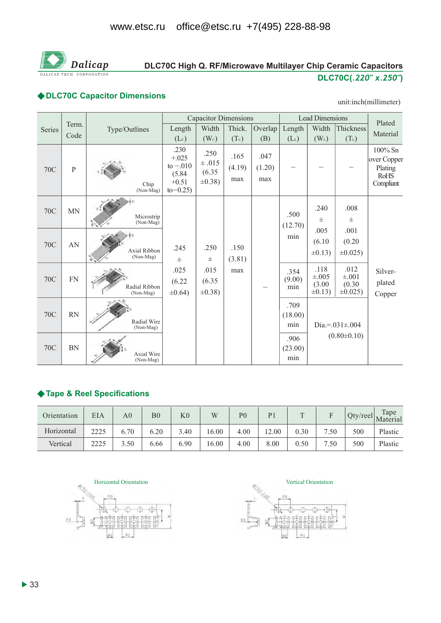

## DLC70C High Q. RF/Microwave Multilayer Chip Ceramic Capacitors DLC70C(.220" x.250")

### ◆DLC70C Capacitor Dimensions

#### unit:inch(millimeter)

|            |                |                                |                                                                   | <b>Capacitor Dimensions</b>             |                       |                       |                        | <b>Lead Dimensions</b>                       |                                             | Plated                                                           |
|------------|----------------|--------------------------------|-------------------------------------------------------------------|-----------------------------------------|-----------------------|-----------------------|------------------------|----------------------------------------------|---------------------------------------------|------------------------------------------------------------------|
| Series     | Term.<br>Code  | Type/Outlines                  | Length<br>(Lc)                                                    | Width<br>(W <sub>c</sub> )              | Thick.<br>(Tc)        | Overlap<br>(B)        | Length<br>$(L_L)$      | Width<br>$(W_L)$                             | Thickness<br>$(T_L)$                        | Material                                                         |
| <b>70C</b> | $\overline{P}$ | Chip<br>(Non-Mag)              | .230<br>$+.025$<br>to $-.010$<br>(5.84)<br>$+0.51$<br>$to -0.25)$ | .250<br>±.015<br>(6.35)<br>$\pm 0.38$ ) | .165<br>(4.19)<br>max | .047<br>(1.20)<br>max |                        |                                              |                                             | $100\%$ Sn<br>over Copper<br>Plating<br><b>RoHS</b><br>Compliant |
| 70C        | <b>MN</b>      | Microstrip<br>(Non-Mag)        |                                                                   |                                         |                       |                       | .500<br>(12.70)        | .240<br>$\pm$                                | .008<br>$_{\pm}$                            |                                                                  |
| <b>70C</b> | AN             | Axial Ribbon<br>(Non-Mag)      | .245<br>$_{\pm}$                                                  | .250<br>$\pm$                           | .150<br>(3.81)        |                       | min                    | .005<br>(6.10)<br>$\pm 0.13$ )               | .001<br>(0.20)<br>$\pm 0.025$ )             |                                                                  |
| 70C        | ${\rm FN}$     | Radial Ribbon<br>(Non-Mag)     | .025<br>(6.22)<br>$\pm 0.64$ )                                    | .015<br>(6.35)<br>$\pm 0.38$ )          | max                   |                       | .354<br>(9.00)<br>min  | .118<br>$\pm .005$<br>(3.00)<br>$\pm 0.13$ ) | .012<br>$\pm .001$<br>(0.30)<br>$\pm 0.025$ | Silver-<br>plated<br>Copper                                      |
| <b>70C</b> | <b>RN</b>      | Radial Wire<br>(Non-Mag)       |                                                                   |                                         |                       |                       | .709<br>(18.00)<br>min |                                              | Dia.=. $031 \pm 004$                        |                                                                  |
| <b>70C</b> | <b>BN</b>      | <b>Axial Wire</b><br>(Non-Mag) |                                                                   |                                         |                       |                       | .906<br>(23.00)<br>min |                                              | $(0.80 \pm 0.10)$                           |                                                                  |

### ◆ Tape & Reel Specifications

| Orientation | EIA  | A <sub>0</sub> | B <sub>0</sub> | K <sub>0</sub> | W     | P <sub>0</sub> | P <sub>1</sub> | $\mathbf{r}$ |      |     | Tape<br>$\sim$ Qty/reel Material |
|-------------|------|----------------|----------------|----------------|-------|----------------|----------------|--------------|------|-----|----------------------------------|
| Horizontal  | 2225 | 6.70           | 6.20           | 3.40           | 16.00 | 4.00           | 12.00          | 0.30         | 7.50 | 500 | Plastic                          |
| Vertical    | 2225 | 3.50           | 6.66           | 6.90           | 16.00 | 4.00           | 8.00           | 0.50         | 7.50 | 500 | Plastic                          |



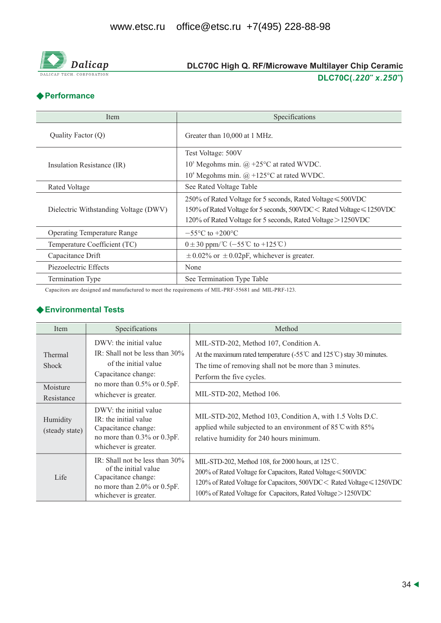

# DLC70C High Q. RF/Microwave Multilayer Chip Ceramic DLC70C(.220" x.250")

### **◆ Performance**

| Item                                  | Specifications                                                        |
|---------------------------------------|-----------------------------------------------------------------------|
| Quality Factor (Q)                    | Greater than 10,000 at 1 MHz.                                         |
|                                       | Test Voltage: 500V                                                    |
| Insulation Resistance (IR)            | $105$ Megohms min. @ +25°C at rated WVDC.                             |
|                                       | $104$ Megohms min. $\omega$ +125°C at rated WVDC.                     |
| Rated Voltage                         | See Rated Voltage Table                                               |
|                                       | 250% of Rated Voltage for 5 seconds, Rated Voltage ≤ 500VDC           |
| Dielectric Withstanding Voltage (DWV) | 150% of Rated Voltage for 5 seconds, 500VDC < Rated Voltage ≤ 1250VDC |
|                                       | 120% of Rated Voltage for 5 seconds, Rated Voltage > 1250VDC          |
| <b>Operating Temperature Range</b>    | $-55^{\circ}$ C to $+200^{\circ}$ C                                   |
| Temperature Coefficient (TC)          | $0 \pm 30$ ppm/°C (-55°C to +125°C)                                   |
| Capacitance Drift                     | $\pm$ 0.02% or $\pm$ 0.02pF, whichever is greater.                    |
| Piezoelectric Effects                 | None                                                                  |
| <b>Termination Type</b>               | See Termination Type Table                                            |

Capacitors are designed and manufactured to meet the requirements of MIL-PRF-55681 and MIL-PRF-123.

#### ◆ Environmental Tests

| Item                                              | Specifications                                                                                                                                                     | Method                                                                                                                                                                                                                                                                  |
|---------------------------------------------------|--------------------------------------------------------------------------------------------------------------------------------------------------------------------|-------------------------------------------------------------------------------------------------------------------------------------------------------------------------------------------------------------------------------------------------------------------------|
| Thermal<br><b>Shock</b><br>Moisture<br>Resistance | DWV: the initial value<br>IR: Shall not be less than $30\%$<br>of the initial value<br>Capacitance change:<br>no more than 0.5% or 0.5pF.<br>whichever is greater. | MIL-STD-202, Method 107, Condition A.<br>At the maximum rated temperature (-55 $\degree$ and 125 $\degree$ ) stay 30 minutes.<br>The time of removing shall not be more than 3 minutes.<br>Perform the five cycles.<br>MIL-STD-202, Method 106.                         |
| Humidity<br>(steady state)                        | DWV: the initial value<br>IR: the initial value<br>Capacitance change:<br>no more than 0.3% or 0.3pF.<br>whichever is greater.                                     | MIL-STD-202, Method 103, Condition A, with 1.5 Volts D.C.<br>applied while subjected to an environment of $85^{\circ}$ C with $85\%$<br>relative humidity for 240 hours minimum.                                                                                        |
| Life                                              | IR: Shall not be less than $30\%$<br>of the initial value<br>Capacitance change:<br>no more than $2.0\%$ or $0.5pF$ .<br>whichever is greater.                     | MIL-STD-202, Method 108, for 2000 hours, at $125^{\circ}$ C.<br>200% of Rated Voltage for Capacitors, Rated Voltage ≤ 500VDC<br>120% of Rated Voltage for Capacitors, 500VDC < Rated Voltage ≤ 1250VDC<br>100% of Rated Voltage for Capacitors, Rated Voltage > 1250VDC |